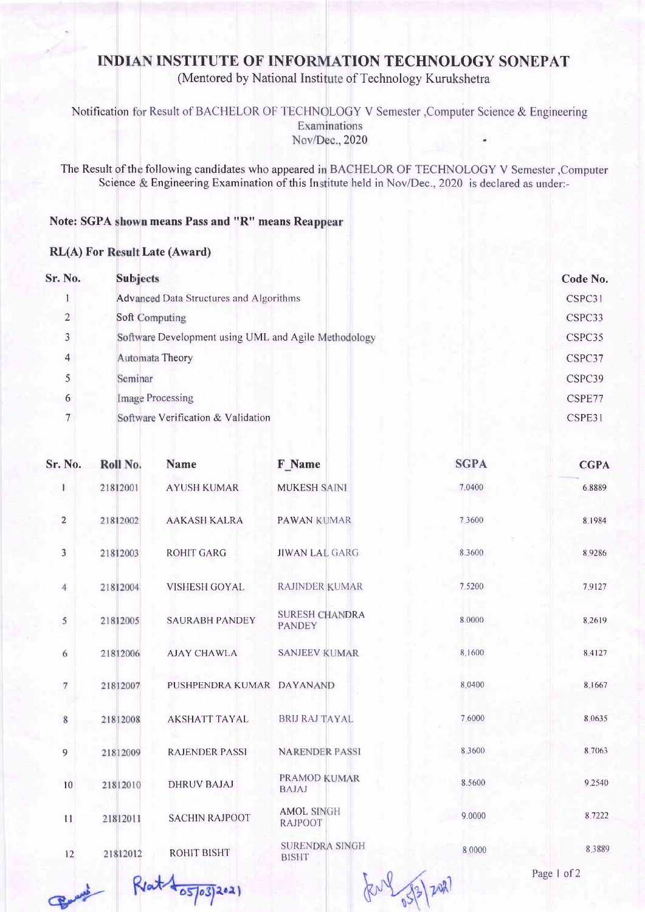## INDIAN INSTITUTE OF INFORMATION TECHNOLOGY SONEPAT

(Mentored by National Institute of Technology Kurukshetra

Notification for Result of BACHELOR OF TECHNOLOGY V Semester , Computer Science & Engineering Nov/Dec., 2020

The Result of the following candidates who appeared in BACHELOR OF TECHNOLOGY V Semester , Compute Science & Engineering Examination of this Institute held in Nov/Dec., 2020 is declared as under:-

## Note: SGPA shown means Pass and "R" means Rea

## RL(A) For Result Late (Award)

| Sr. No.        | <b>Subjects</b>                                      | Code No. |
|----------------|------------------------------------------------------|----------|
|                | <b>Advanced Data Structures and Algorithms</b>       | CSPC31   |
| $\overline{2}$ | Soft Computing                                       | CSPC33   |
| 3              | Software Development using UML and Agile Methodology | CSPC35   |
| $\overline{4}$ | Automata Theory                                      | CSPC37   |
|                | Seminar                                              | CSPC39   |
| 6              | <b>Image Processing</b>                              | CSPE77   |
|                | Software Verification & Validation                   | CSPE31   |
|                |                                                      |          |

| Sr. No.                 | Roll No. | <b>Name</b>               | F Name                                 | <b>SGPA</b>  | <b>CGPA</b> |
|-------------------------|----------|---------------------------|----------------------------------------|--------------|-------------|
| 1                       | 21812001 | <b>AYUSH KUMAR</b>        | <b>MUKESH SAINI</b>                    | 7.0400       | 6.8889      |
| $\overline{\mathbf{c}}$ | 21812002 | <b>AAKASH KALRA</b>       | <b>PAWAN KUMAR</b>                     | 7,3600       | 8.1984      |
| 3                       | 21812003 | <b>ROHIT GARG</b>         | <b>JIWAN LAL GARG</b>                  | 8.3600       | 89286       |
| 4                       | 21812004 | <b>VISHESH GOYAL</b>      | <b>RAJINDER KUMAR</b>                  | 7.5200       | 7.9127      |
| 5                       | 21812005 | <b>SAURABH PANDEY</b>     | <b>SURESH CHANDRA</b><br><b>PANDEY</b> | 8.0000       | 8.2619      |
| 6                       | 21812006 | <b>AJAY CHAWLA</b>        | <b>SANJEEV KUMAR</b>                   | 8.1600       | 8.4127      |
| 7                       | 21812007 | PUSHPENDRA KUMAR DAYANAND |                                        | 8.0400       | 8.1667      |
| 8                       | 21812008 | <b>AKSHATT TAYAL</b>      | <b>BRIJ RAJ TAYAL</b>                  | 7.6000       | 8.0635      |
| 9                       | 21812009 | <b>RAJENDER PASSI</b>     | <b>NARENDER PASSI</b>                  | 8.3600       | 8.7063      |
| 10                      | 21812010 | <b>DHRUV BAJAJ</b>        | PRAMOD KUMAR<br><b>BAJAJ</b>           | 8.5600       | 9.2540      |
| 11                      | 21812011 | <b>SACHIN RAJPOOT</b>     | <b>AMOL SINGH</b><br><b>RAJPOOT</b>    | 9.0000       | 8.7222      |
| 12                      | 21812012 | ROHIT BISHT               | SURENDRA SINGH<br><b>BISHT</b>         | 8.0000       | 8.3889      |
|                         |          | $\sim$ $\sqrt{1}$         | $\sqrt{0}$<br>T                        | $\mathbf{A}$ | Page 1 of 2 |

Bany  $80503202$